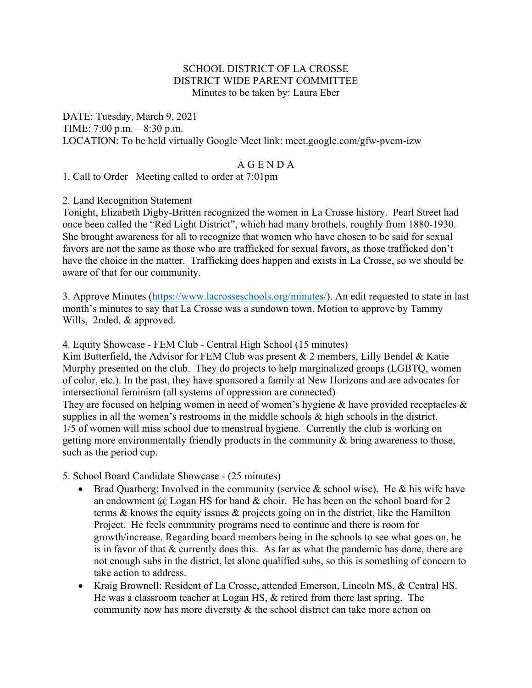# SCHOOL DISTRICT OF LA CROSSE DISTRICT WIDE PARENT COMMITTEE Minutes to be taken by: Laura Eber

DATE: Tuesday, March 9, 2021 TIME: 7:00 p.m. – 8:30 p.m. LOCATION: To be held virtually Google Meet link: meet.google.com/gfw-pvcm-izw

## A G E N D A

1. Call to Order Meeting called to order at 7:01pm

## 2. Land Recognition Statement

Tonight, Elizabeth Digby-Britten recognized the women in La Crosse history. Pearl Street had once been called the "Red Light District", which had many brothels, roughly from 1880-1930. She brought awareness for all to recognize that women who have chosen to be said for sexual favors are not the same as those who are trafficked for sexual favors, as those trafficked don't have the choice in the matter. Trafficking does happen and exists in La Crosse, so we should be aware of that for our community.

3. Approve Minutes (https://www.lacrosseschools.org/minutes/). An edit requested to state in last month's minutes to say that La Crosse was a sundown town. Motion to approve by Tammy Wills, 2nded, & approved.

4. Equity Showcase - FEM Club - Central High School (15 minutes)

Kim Butterfield, the Advisor for FEM Club was present & 2 members, Lilly Bendel & Katie Murphy presented on the club. They do projects to help marginalized groups (LGBTQ, women of color, etc.). In the past, they have sponsored a family at New Horizons and are advocates for intersectional feminism (all systems of oppression are connected)

They are focused on helping women in need of women's hygiene & have provided receptacles & supplies in all the women's restrooms in the middle schools & high schools in the district. 1/5 of women will miss school due to menstrual hygiene. Currently the club is working on getting more environmentally friendly products in the community & bring awareness to those, such as the period cup.

5. School Board Candidate Showcase - (25 minutes)

- Brad Quarberg: Involved in the community (service  $\&$  school wise). He  $\&$  his wife have an endowment  $\omega$  Logan HS for band  $\&$  choir. He has been on the school board for 2 terms & knows the equity issues & projects going on in the district, like the Hamilton Project. He feels community programs need to continue and there is room for growth/increase. Regarding board members being in the schools to see what goes on, he is in favor of that & currently does this. As far as what the pandemic has done, there are not enough subs in the district, let alone qualified subs, so this is something of concern to take action to address.
- Kraig Brownell: Resident of La Crosse, attended Emerson, Lincoln MS, & Central HS. He was a classroom teacher at Logan HS, & retired from there last spring. The community now has more diversity & the school district can take more action on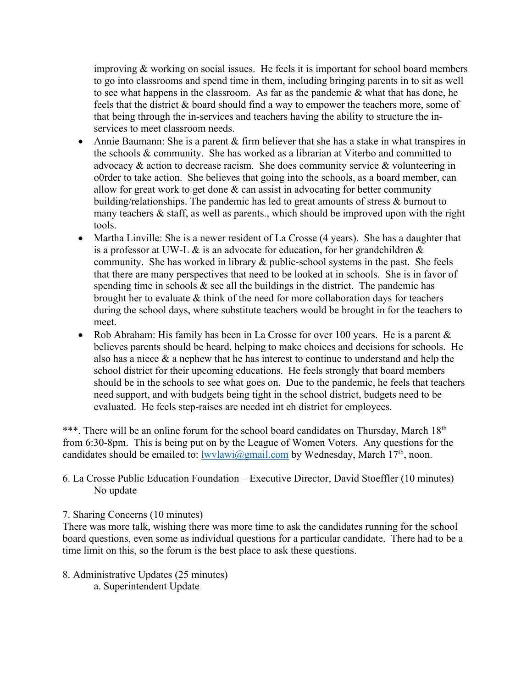improving & working on social issues. He feels it is important for school board members to go into classrooms and spend time in them, including bringing parents in to sit as well to see what happens in the classroom. As far as the pandemic & what that has done, he feels that the district & board should find a way to empower the teachers more, some of that being through the in-services and teachers having the ability to structure the inservices to meet classroom needs.

- Annie Baumann: She is a parent & firm believer that she has a stake in what transpires in the schools & community. She has worked as a librarian at Viterbo and committed to advocacy & action to decrease racism. She does community service & volunteering in o0rder to take action. She believes that going into the schools, as a board member, can allow for great work to get done  $\&$  can assist in advocating for better community building/relationships. The pandemic has led to great amounts of stress & burnout to many teachers  $\&$  staff, as well as parents., which should be improved upon with the right tools.
- Martha Linville: She is a newer resident of La Crosse (4 years). She has a daughter that is a professor at UW-L  $\&$  is an advocate for education, for her grandchildren  $\&$ community. She has worked in library & public-school systems in the past. She feels that there are many perspectives that need to be looked at in schools. She is in favor of spending time in schools  $\&$  see all the buildings in the district. The pandemic has brought her to evaluate & think of the need for more collaboration days for teachers during the school days, where substitute teachers would be brought in for the teachers to meet.
- Rob Abraham: His family has been in La Crosse for over 100 years. He is a parent  $\&$ believes parents should be heard, helping to make choices and decisions for schools. He also has a niece  $\&$  a nephew that he has interest to continue to understand and help the school district for their upcoming educations. He feels strongly that board members should be in the schools to see what goes on. Due to the pandemic, he feels that teachers need support, and with budgets being tight in the school district, budgets need to be evaluated. He feels step-raises are needed int eh district for employees.

\*\*\*. There will be an online forum for the school board candidates on Thursday, March 18<sup>th</sup> from 6:30-8pm. This is being put on by the League of Women Voters. Any questions for the candidates should be emailed to:  $lwvlawi@gmail.com$  by Wednesday, March 17<sup>th</sup>, noon.

## 6. La Crosse Public Education Foundation – Executive Director, David Stoeffler (10 minutes) No update

## 7. Sharing Concerns (10 minutes)

There was more talk, wishing there was more time to ask the candidates running for the school board questions, even some as individual questions for a particular candidate. There had to be a time limit on this, so the forum is the best place to ask these questions.

8. Administrative Updates (25 minutes) a. Superintendent Update